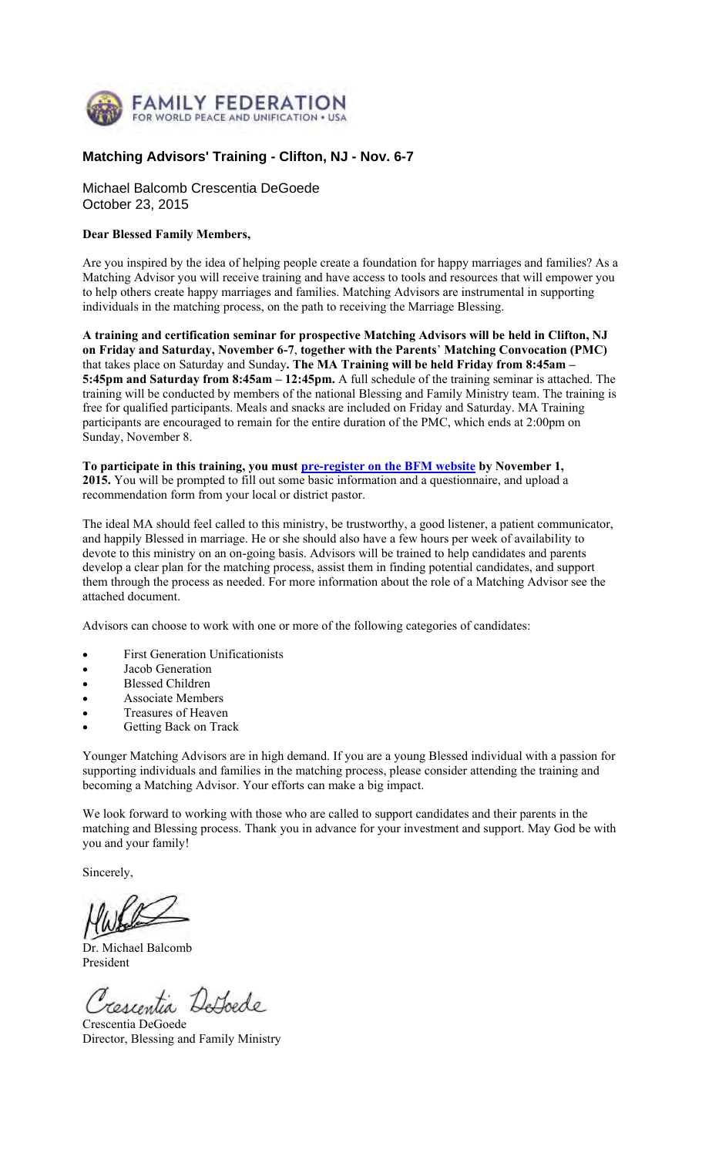

#### **Matching Advisors' Training - Clifton, NJ - Nov. 6-7**

Michael Balcomb Crescentia DeGoede October 23, 2015

#### **Dear Blessed Family Members,**

Are you inspired by the idea of helping people create a foundation for happy marriages and families? As a Matching Advisor you will receive training and have access to tools and resources that will empower you to help others create happy marriages and families. Matching Advisors are instrumental in supporting individuals in the matching process, on the path to receiving the Marriage Blessing.

**A training and certification seminar for prospective Matching Advisors will be held in Clifton, NJ on Friday and Saturday, November 6-7**, **together with the Parents**' **Matching Convocation (PMC)** that takes place on Saturday and Sunday**. The MA Training will be held Friday from 8:45am – 5:45pm and Saturday from 8:45am – 12:45pm.** A full schedule of the training seminar is attached. The training will be conducted by members of the national Blessing and Family Ministry team. The training is free for qualified participants. Meals and snacks are included on Friday and Saturday. MA Training participants are encouraged to remain for the entire duration of the PMC, which ends at 2:00pm on Sunday, November 8.

**To participate in this training, you must pre-register on the BFM website by November 1, 2015.** You will be prompted to fill out some basic information and a questionnaire, and upload a recommendation form from your local or district pastor.

The ideal MA should feel called to this ministry, be trustworthy, a good listener, a patient communicator, and happily Blessed in marriage. He or she should also have a few hours per week of availability to devote to this ministry on an on-going basis. Advisors will be trained to help candidates and parents develop a clear plan for the matching process, assist them in finding potential candidates, and support them through the process as needed. For more information about the role of a Matching Advisor see the attached document.

Advisors can choose to work with one or more of the following categories of candidates:

- First Generation Unificationists
- Jacob Generation
- Blessed Children
- Associate Members
- Treasures of Heaven
- Getting Back on Track

Younger Matching Advisors are in high demand. If you are a young Blessed individual with a passion for supporting individuals and families in the matching process, please consider attending the training and becoming a Matching Advisor. Your efforts can make a big impact.

We look forward to working with those who are called to support candidates and their parents in the matching and Blessing process. Thank you in advance for your investment and support. May God be with you and your family!

Sincerely,

Dr. Michael Balcomb President

Tescentia DeLoede

Crescentia DeGoede Director, Blessing and Family Ministry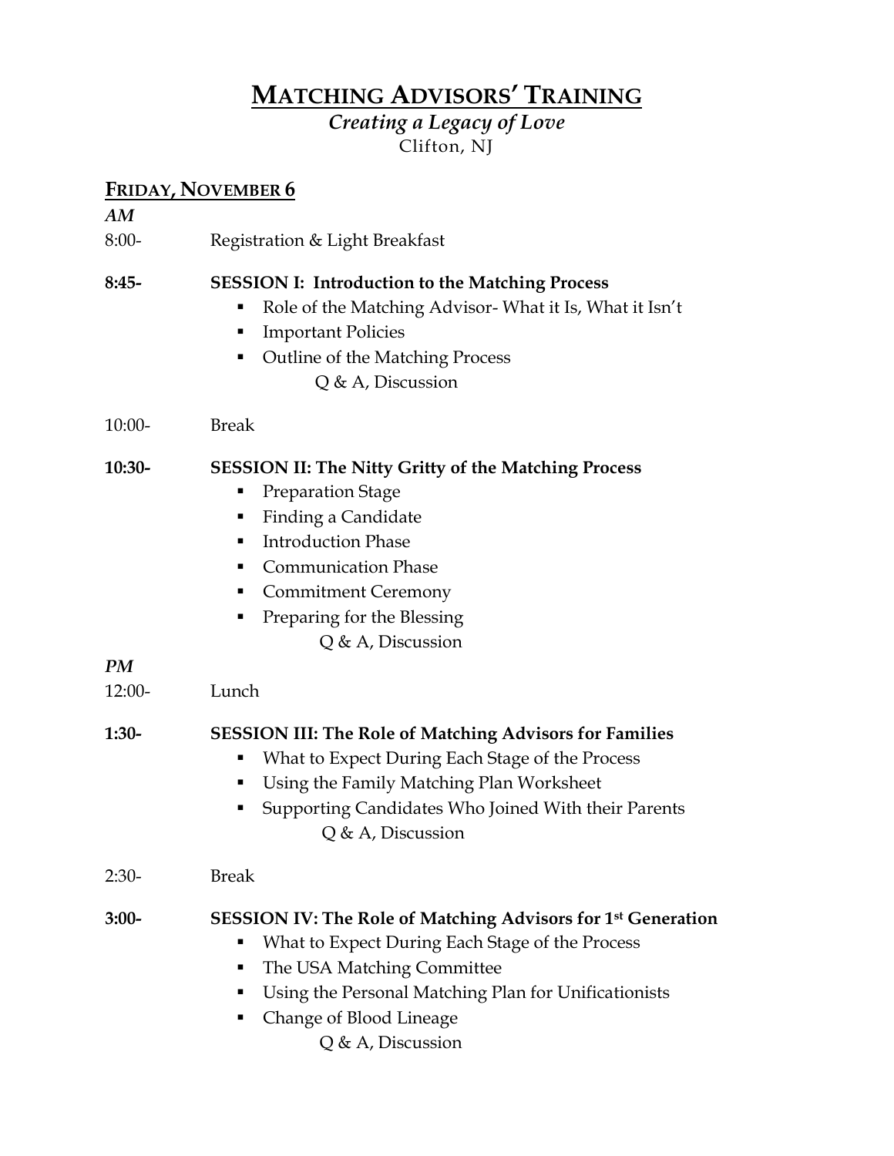## **MATCHING ADVISORS' TRAINING**

*Creating a Legacy of Love*  Clifton, NJ

### **FRIDAY, NOVEMBER 6**

|          | $\frac{1 \text{ m} \text{m} \text{m}}{1 \text{ m} \text{m} \text{m} \text{m} \text{m}}$                                                                                                                                                                                                    |
|----------|--------------------------------------------------------------------------------------------------------------------------------------------------------------------------------------------------------------------------------------------------------------------------------------------|
| AM       |                                                                                                                                                                                                                                                                                            |
| $8:00-$  | Registration & Light Breakfast                                                                                                                                                                                                                                                             |
| $8:45-$  | <b>SESSION I: Introduction to the Matching Process</b><br>Role of the Matching Advisor-What it Is, What it Isn't<br><b>Important Policies</b><br>п<br><b>Outline of the Matching Process</b><br>٠<br>$Q$ & A, Discussion                                                                   |
| $10:00-$ | <b>Break</b>                                                                                                                                                                                                                                                                               |
| 10:30-   | <b>SESSION II: The Nitty Gritty of the Matching Process</b><br><b>Preparation Stage</b><br>п<br>Finding a Candidate<br>п<br><b>Introduction Phase</b><br>٠<br><b>Communication Phase</b><br>٠<br><b>Commitment Ceremony</b><br>ш<br>Preparing for the Blessing<br>٠<br>$Q$ & A, Discussion |
| PM       |                                                                                                                                                                                                                                                                                            |
| $12:00-$ | Lunch                                                                                                                                                                                                                                                                                      |
| $1:30-$  | <b>SESSION III: The Role of Matching Advisors for Families</b><br>What to Expect During Each Stage of the Process<br>Е<br>Using the Family Matching Plan Worksheet<br>п<br>Supporting Candidates Who Joined With their Parents<br>п<br>$Q$ & A, Discussion                                 |
| $2:30-$  | <b>Break</b>                                                                                                                                                                                                                                                                               |
| $3:00-$  | <b>SESSION IV: The Role of Matching Advisors for 1st Generation</b><br>What to Expect During Each Stage of the Process<br>The USA Matching Committee<br>п<br>Using the Personal Matching Plan for Unificationists<br>п<br>Change of Blood Lineage<br>п<br>Q & A, Discussion                |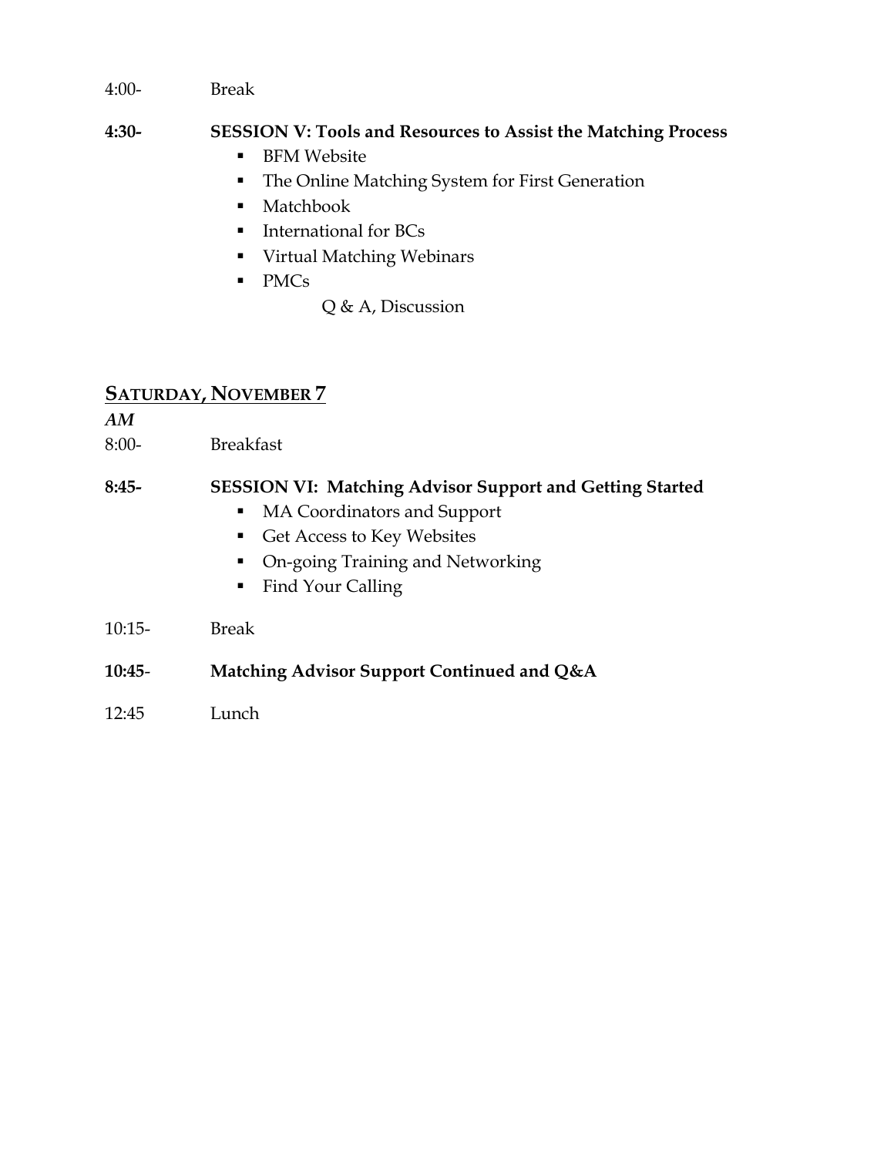4:00- Break

#### **4:30- SESSION V: Tools and Resources to Assist the Matching Process**

- **BFM Website**
- **The Online Matching System for First Generation**
- Matchbook
- **International for BCs**
- Virtual Matching Webinars
- PMCs
- Q & A, Discussion

#### **SATURDAY, NOVEMBER 7**

*AM*

8:00- Breakfast

#### **8:45- SESSION VI: Matching Advisor Support and Getting Started**

- MA Coordinators and Support
- Get Access to Key Websites
- On-going Training and Networking
- Find Your Calling
- 10:15- Break
- **10:45 Matching Advisor Support Continued and Q&A**
- 12:45 Lunch